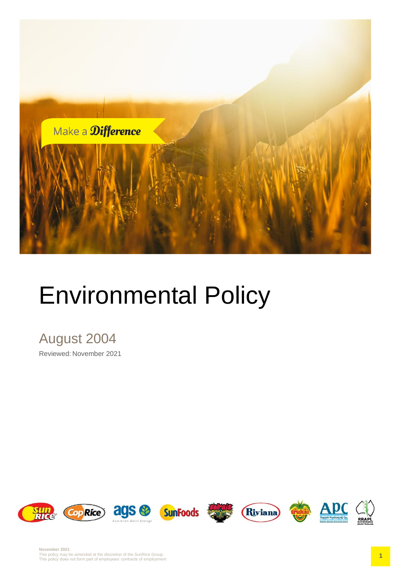

# Environmental Policy

## August 2004

Reviewed: November 2021

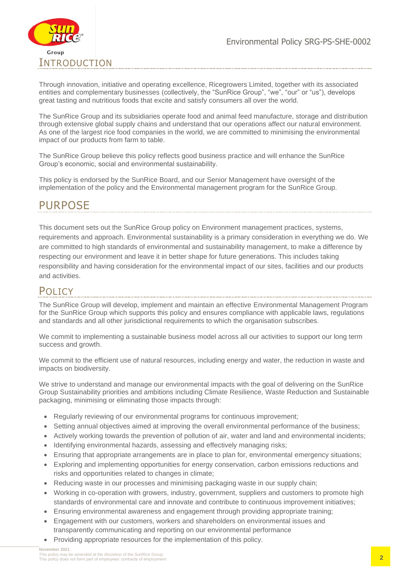

Through innovation, initiative and operating excellence, Ricegrowers Limited, together with its associated entities and complementary businesses (collectively, the "SunRice Group", "we", "our" or "us"), develops great tasting and nutritious foods that excite and satisfy consumers all over the world.

The SunRice Group and its subsidiaries operate food and animal feed manufacture, storage and distribution through extensive global supply chains and understand that our operations affect our natural environment. As one of the largest rice food companies in the world, we are committed to minimising the environmental impact of our products from farm to table.

The SunRice Group believe this policy reflects good business practice and will enhance the SunRice Group's economic, social and environmental sustainability.

This policy is endorsed by the SunRice Board, and our Senior Management have oversight of the implementation of the policy and the Environmental management program for the SunRice Group.

### PURPOSE

This document sets out the SunRice Group policy on Environment management practices, systems, requirements and approach. Environmental sustainability is a primary consideration in everything we do. We are committed to high standards of environmental and sustainability management, to make a difference by respecting our environment and leave it in better shape for future generations. This includes taking responsibility and having consideration for the environmental impact of our sites, facilities and our products and activities.

#### POL<sub>ICY</sub>

The SunRice Group will develop, implement and maintain an effective Environmental Management Program for the SunRice Group which supports this policy and ensures compliance with applicable laws, regulations and standards and all other jurisdictional requirements to which the organisation subscribes.

We commit to implementing a sustainable business model across all our activities to support our long term success and growth.

We commit to the efficient use of natural resources, including energy and water, the reduction in waste and impacts on biodiversity.

We strive to understand and manage our environmental impacts with the goal of delivering on the SunRice Group Sustainability priorities and ambitions including Climate Resilience, Waste Reduction and Sustainable packaging, minimising or eliminating those impacts through:

- Regularly reviewing of our environmental programs for continuous improvement;
- Setting annual objectives aimed at improving the overall environmental performance of the business;
- Actively working towards the prevention of pollution of air, water and land and environmental incidents;
- Identifying environmental hazards, assessing and effectively managing risks;
- Ensuring that appropriate arrangements are in place to plan for, environmental emergency situations;
- Exploring and implementing opportunities for energy conservation, carbon emissions reductions and risks and opportunities related to changes in climate;
- Reducing waste in our processes and minimising packaging waste in our supply chain;
- Working in co-operation with growers, industry, government, suppliers and customers to promote high standards of environmental care and innovate and contribute to continuous improvement initiatives;
- Ensuring environmental awareness and engagement through providing appropriate training;
- Engagement with our customers, workers and shareholders on environmental issues and transparently communicating and reporting on our environmental performance
- Providing appropriate resources for the implementation of this policy.

**November 2021** This policy may be amended at the discretion of the SunRice Group. This policy does not form part of employees' contracts of employment **2**